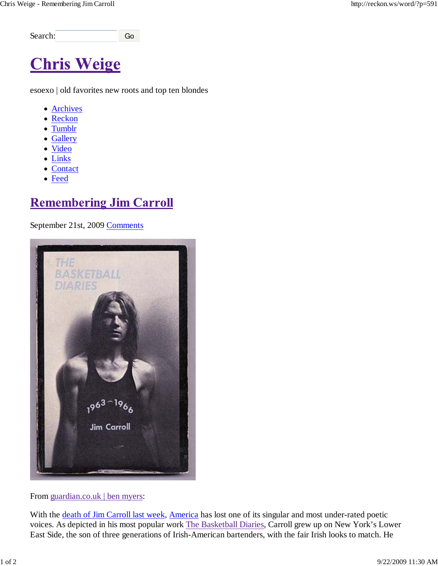Search: Go

# **Chris Weige**

esoexo | old favorites new roots and top ten blondes

- Archives
- Reckon
- Tumblr
- Gallery
- Video
- Links
- Contact
- Feed

# **Remembering Jim Carroll**

September 21st, 2009 Comments



#### From guardian.co.uk | ben myers:

With the death of Jim Carroll last week, America has lost one of its singular and most under-rated poetic voices. As depicted in his most popular work The Basketball Diaries, Carroll grew up on New York's Lower East Side, the son of three generations of Irish-American bartenders, with the fair Irish looks to match. He